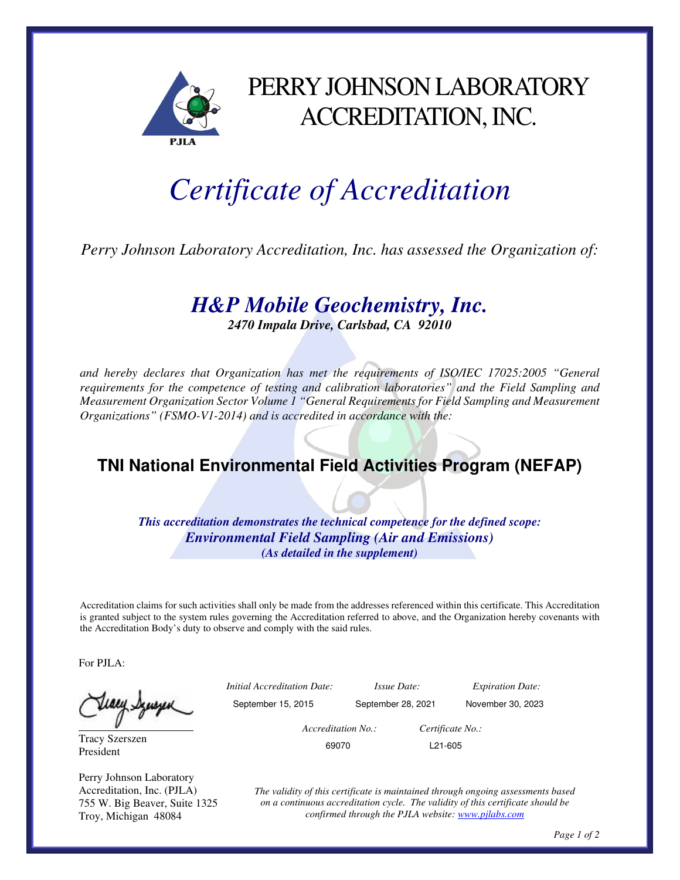

## PERRY JOHNSON LABORATORY ACCREDITATION, INC.

## *Certificate of Accreditation*

*Perry Johnson Laboratory Accreditation, Inc. has assessed the Organization of:* 

## *H&P Mobile Geochemistry, Inc.*

*2470 Impala Drive, Carlsbad, CA 92010* 

*and hereby declares that Organization has met the requirements of ISO/IEC 17025:2005 "General requirements for the competence of testing and calibration laboratories" and the Field Sampling and Measurement Organization Sector Volume 1 "General Requirements for Field Sampling and Measurement Organizations" (FSMO-V1-2014) and is accredited in accordance with the:* 

## **TNI National Environmental Field Activities Program (NEFAP)**

*This accreditation demonstrates the technical competence for the defined scope: Environmental Field Sampling (Air and Emissions) (As detailed in the supplement)* 

Accreditation claims for such activities shall only be made from the addresses referenced within this certificate. This Accreditation is granted subject to the system rules governing the Accreditation referred to above, and the Organization hereby covenants with the Accreditation Body's duty to observe and comply with the said rules.

For PJLA:

Tracy Szerszen President

Perry Johnson Laboratory Accreditation, Inc. (PJLA) 755 W. Big Beaver, Suite 1325 Troy, Michigan 48084

 *Initial Accreditation Date: Issue Date: Expiration Date:*  September 15, 2015 September 28, 2021 November 30, 2023

 *Accreditation No.: Certificate No.:*  69070 L21-605

*The validity of this certificate is maintained through ongoing assessments based on a continuous accreditation cycle. The validity of this certificate should be confirmed through the PJLA website: www.pjlabs.com*